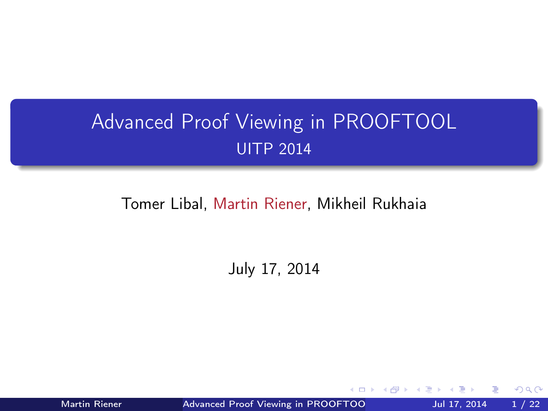# <span id="page-0-0"></span>Advanced Proof Viewing in PROOFTOOL UITP 2014

#### Tomer Libal, Martin Riener, Mikheil Rukhaia

July 17, 2014

Martin Riener **Advanced Proof Viewing in PROOFTOO** Jul 17, 2014 1/22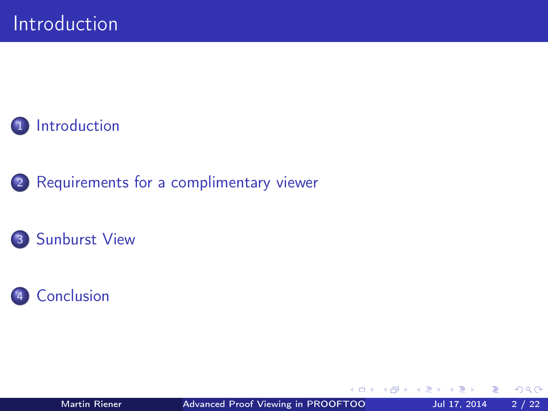

2 [Requirements for a complimentary viewer](#page-5-0)





Martin Riener **Advanced Proof Viewing in PROOFTOO** Jul 17, 2014 2 / 22

∢⊡

 $QQ$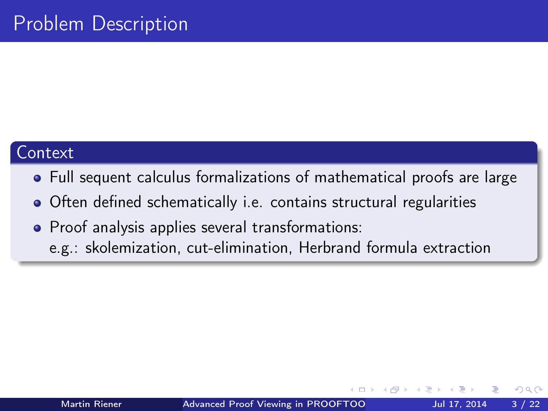#### <span id="page-2-0"></span>**Context**

- Full sequent calculus formalizations of mathematical proofs are large
- Often defined schematically i.e. contains structural regularities
- Proof analysis applies several transformations:
	- e.g.: skolemization, cut-elimination, Herbrand formula extraction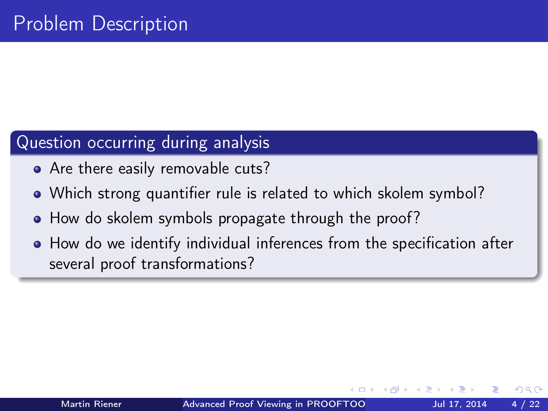## Question occurring during analysis

- Are there easily removable cuts?
- Which strong quantifier rule is related to which skolem symbol?
- How do skolem symbols propagate through the proof?
- How do we identify individual inferences from the specification after several proof transformations?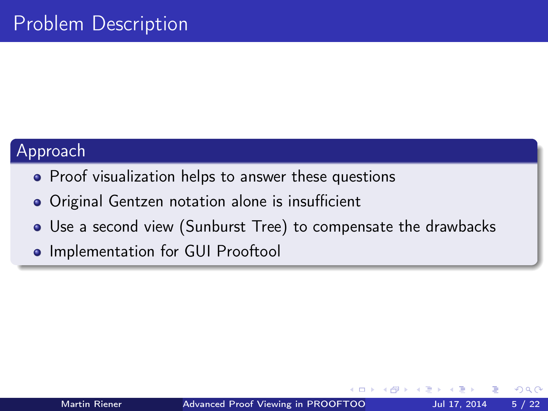#### Approach

- Proof visualization helps to answer these questions
- Original Gentzen notation alone is insufficient
- Use a second view (Sunburst Tree) to compensate the drawbacks
- **.** Implementation for GUI Prooftool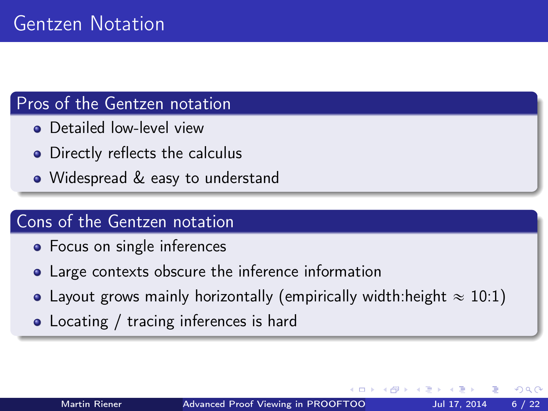#### <span id="page-5-0"></span>Pros of the Gentzen notation

- **•** Detailed low-level view
- Directly reflects the calculus
- Widespread & easy to understand

#### Cons of the Gentzen notation

- Focus on single inferences
- Large contexts obscure the inference information
- Layout grows mainly horizontally (empirically width: height  $\approx 10:1$ )
- Locating / tracing inferences is hard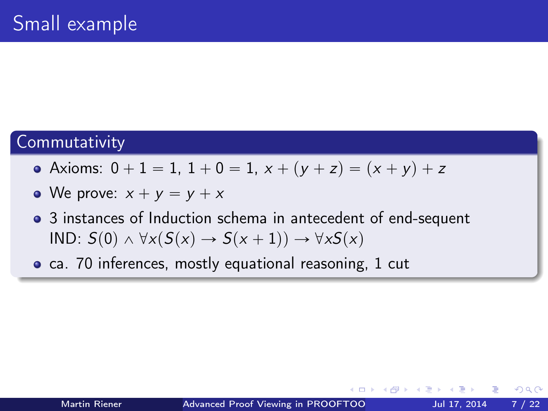#### **Commutativity**

- Axioms:  $0 + 1 = 1$ ,  $1 + 0 = 1$ ,  $x + (y + z) = (x + y) + z$
- We prove:  $x + y = y + x$
- 3 instances of Induction schema in antecedent of end-sequent IND:  $S(0) \wedge \forall x (S(x) \rightarrow S(x + 1)) \rightarrow \forall x S(x)$
- ca. 70 inferences, mostly equational reasoning, 1 cut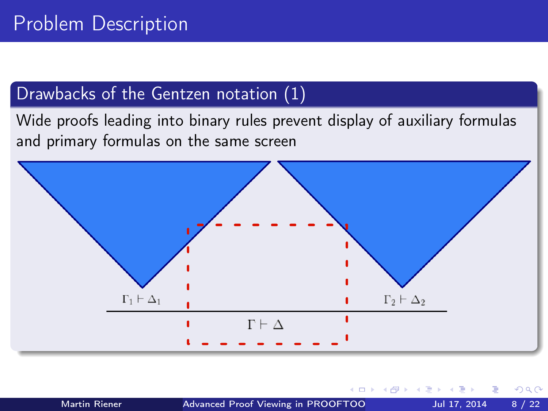## Drawbacks of the Gentzen notation (1)

Wide proofs leading into binary rules prevent display of auxiliary formulas and primary formulas on the same screen



 $\blacksquare$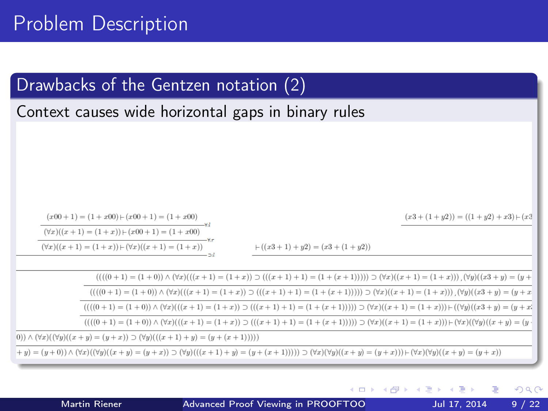# Problem Description

## Drawbacks of the Gentzen notation (2)

Context causes wide horizontal gaps in binary rules

 $(x3 + (1 + y2)) = ((1 + y2) + x3) + (x3)$ 

 $(x00+1) = (1+x00) + (x00+1) = (1+x00)$  $(\forall x)((x+1) = (1+x)) \vdash (x00+1) = (1+x00)$  $(\forall x)((x+1)=(1+x))\vdash (\forall x)((x+1)=(1+x))$ 

 $+((x3+1)+y2)=(x3+(1+y2))$ 

 $(((0+1) = (1+0)) \wedge (\forall x)((x+1) = (1+x)) \supset ((x+1)+1) = (1+(x+1)))) \supset (\forall x)((x+1) = (1+x))$  $(((0+1) = (1+0)) \wedge (7x)((x+1) = (1+x)) \supset ((x+1)+1) = (1+(x+1)))) \supset (7x)((x+1) = (1+x))$  $(((0+1) = (1+0)) \wedge (\forall x)((x+1) = (1+x)) \supset ((x+1)+1) = (1+(x+1)))) \supset (\forall x)((x+1) = (1+x)))+((\forall y)((x+3+y) = (y+x))$  $(((0+1) = (1+0)) \wedge (\forall x)((x+1) = (1+x)) \supset ((x+1)+1) = (1+(x+1)))) \supset (\forall x)((x+1) = (1+x)) \vdash (\forall x)((\forall y)((x+y) = (y+1))$  $(0)$ )  $\wedge$   $(\forall x)((\forall u)((x + u) = (u + x)) \supset (\forall u)((x + 1) + u) = (u + (x + 1))))$  $(y + y) = (y + 0) \wedge (\forall x)((\forall y)((x + y) = (y + x)) \supset (\forall y)((x + 1) + y) = (y + (x + 1)))) \supset (\forall x)(\forall y)((x + y) = (y + x)) \vdash (\forall x)(\forall y)((x + y) = (y + x))$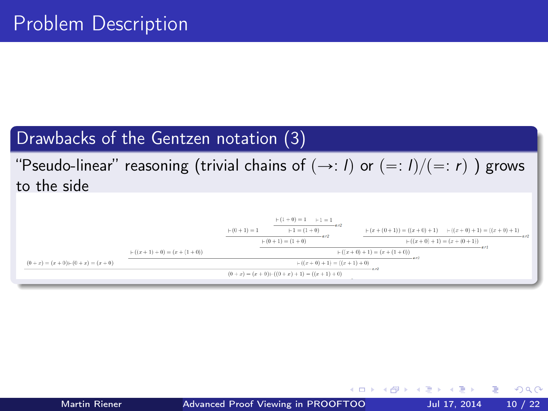### Drawbacks of the Gentzen notation (3)

## "Pseudo-linear" reasoning (trivial chains of  $(\rightarrow: I)$  or  $(=: I)/ (=: r)$ ) grows to the side



Martin Riener **Advanced Proof Viewing in PROOFTOO** Jul 17, 2014 10 / 22

э.

 $QQ$ 

イロト イ母 ト イヨ ト イヨ トー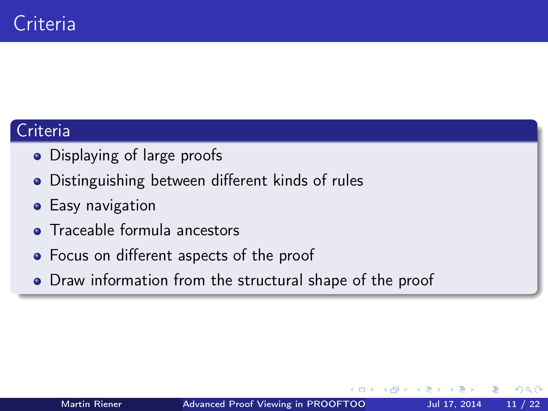## Criteria

- Displaying of large proofs
- Distinguishing between different kinds of rules
- **•** Easy navigation
- **•** Traceable formula ancestors
- Focus on different aspects of the proof
- Draw information from the structural shape of the proof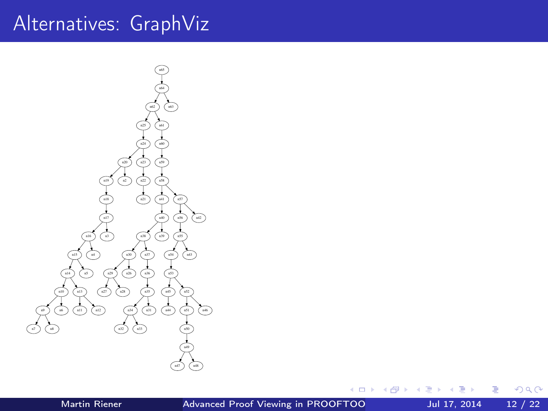# <span id="page-11-0"></span>Alternatives: GraphViz



◆ ロ ▶ → 伊

 $\blacktriangleright$   $\blacktriangleleft$ 

×

≃

活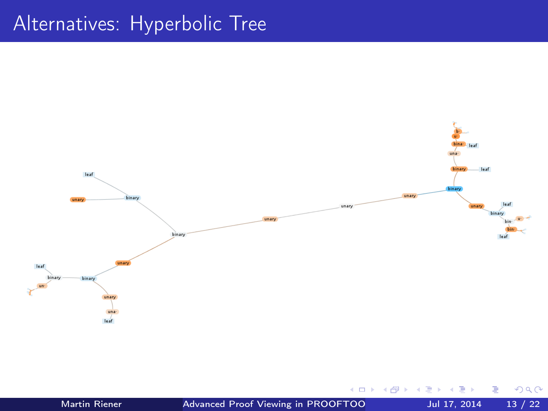# Alternatives: Hyperbolic Tree



Martin Riener Advanced Proof Viewing in PROOFTOO Jul 17, 2014 13 / 22

 $\leftarrow$   $\Box$ 

э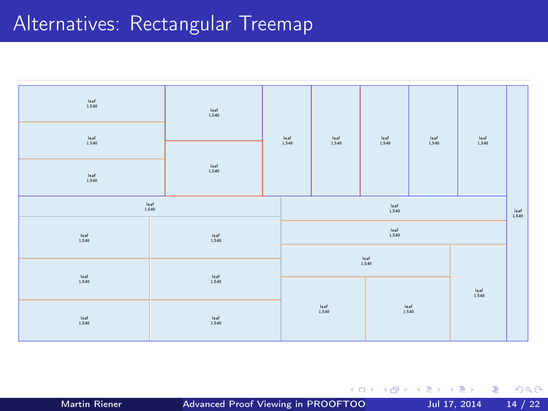# Alternatives: Rectangular Treemap



Martin Riener **Advanced Proof Viewing in PROOFTOO** Jul 17, 2014 14 / 22

重

キロメ メ都 メメ きょうくぼう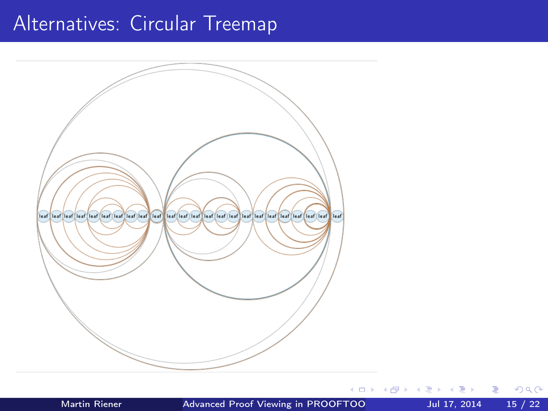# Alternatives: Circular Treemap



**IN** 

目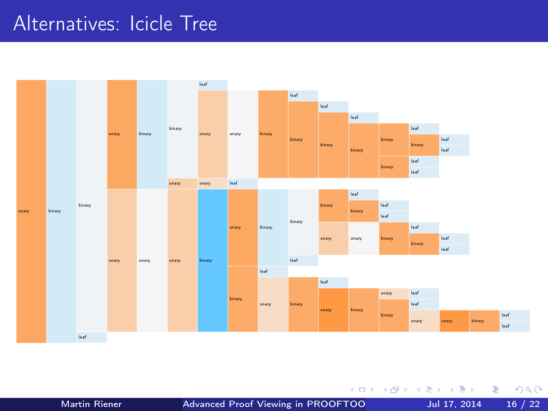## Alternatives: Icicle Tree



Martin Riener **Advanced Proof Viewing in PROOFTOO** Jul 17, 2014 16 / 22

4 0 8

一句

×.  $\sim$  $\mathcal{A}$  $\sim$ 

E ×  $299$ 

÷,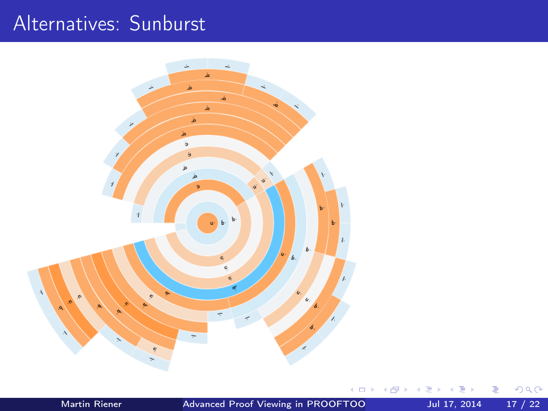# Alternatives: Sunburst



Martin Riener **Advanced Proof Viewing in PROOFTOO** Jul 17, 2014 17 / 22

 $\leftarrow$   $\Box$ 

Þ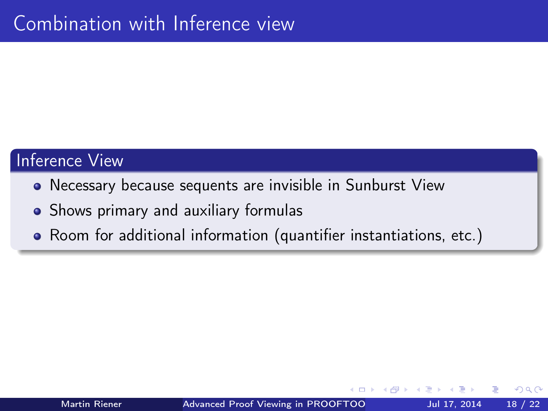#### Inference View

- Necessary because sequents are invisible in Sunburst View
- Shows primary and auxiliary formulas
- Room for additional information (quantifier instantiations, etc.)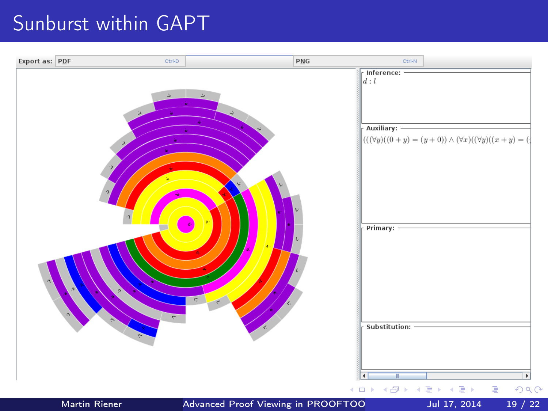## Sunburst within GAPT

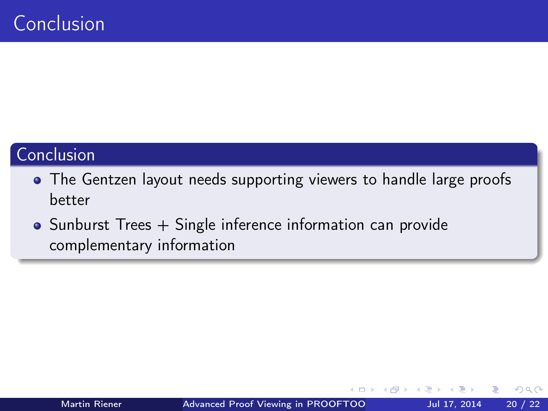## <span id="page-19-0"></span>Conclusion

- The Gentzen layout needs supporting viewers to handle large proofs better
- Sunburst Trees + Single inference information can provide complementary information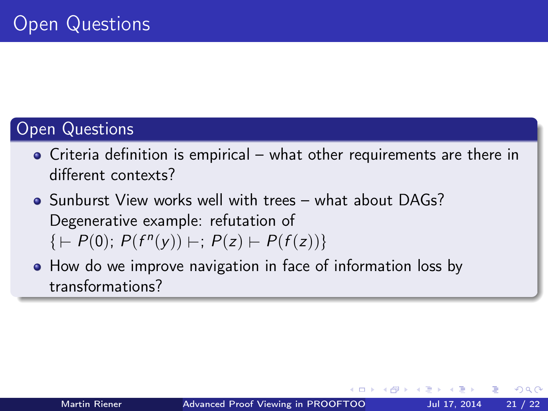## Open Questions

- Criteria definition is empirical what other requirements are there in different contexts?
- Sunburst View works well with trees what about DAGs? Degenerative example: refutation of  $\{P(P(0); P(f^{n}(y)) \vdash; P(z) \vdash P(f(z))\}$
- How do we improve navigation in face of information loss by transformations?